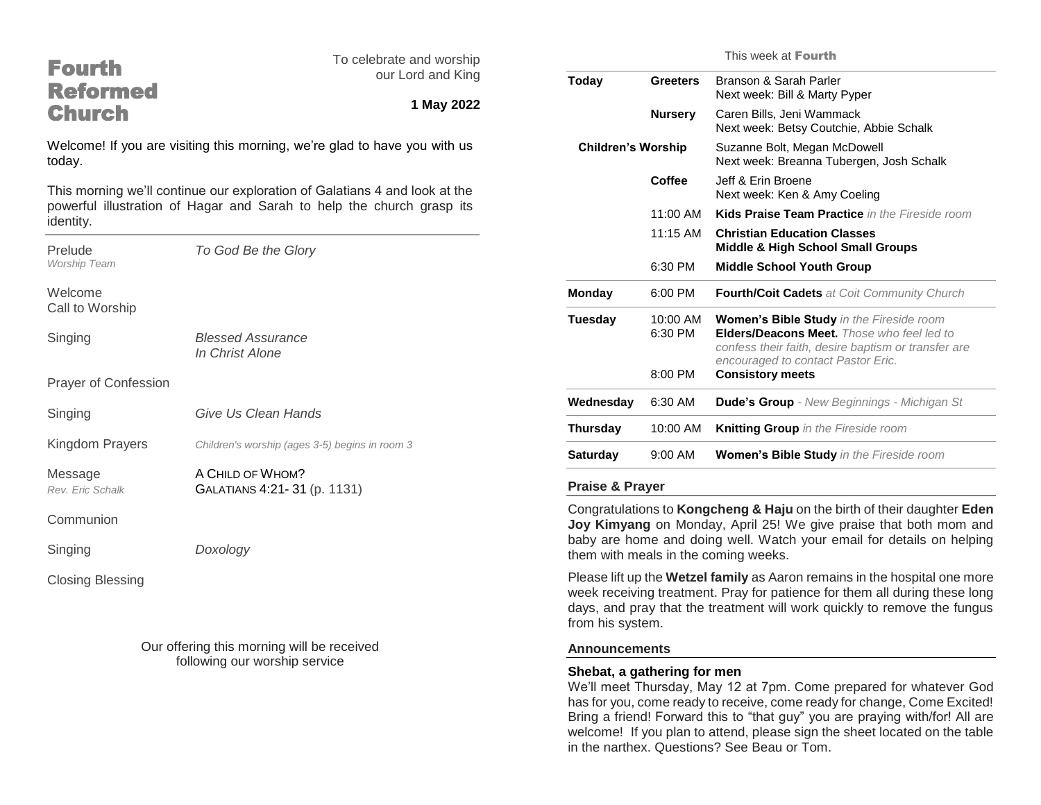| <b>Fourth</b>                                                                       | To celebrate and worship                                                   | This '                                                                                                |                     |                                           |
|-------------------------------------------------------------------------------------|----------------------------------------------------------------------------|-------------------------------------------------------------------------------------------------------|---------------------|-------------------------------------------|
| <b>Reformed</b>                                                                     | our Lord and King                                                          | Today                                                                                                 | <b>Greeters</b>     | <b>Bransc</b><br>Next w                   |
| <b>Church</b>                                                                       | 1 May 2022                                                                 |                                                                                                       | <b>Nursery</b>      | Caren<br>Next w                           |
| Welcome! If you are visiting this morning, we're glad to have you with us<br>today. | <b>Children's Worship</b>                                                  |                                                                                                       | Suzanı<br>Next w    |                                           |
|                                                                                     | This morning we'll continue our exploration of Galatians 4 and look at the |                                                                                                       | Coffee              | Jeff & I<br>Next w                        |
| powerful illustration of Hagar and Sarah to help the church grasp its<br>identity.  |                                                                            |                                                                                                       | 11:00 AM            | <b>Kids P</b>                             |
| Prelude                                                                             | To God Be the Glory                                                        |                                                                                                       | 11:15 AM            | Christi<br><b>Middle</b>                  |
| <b>Worship Team</b>                                                                 |                                                                            |                                                                                                       | 6:30 PM             | <b>Middle</b>                             |
| Welcome<br>Call to Worship                                                          |                                                                            | Monday                                                                                                | 6:00 PM             | Fourth                                    |
| Singing                                                                             | <b>Blessed Assurance</b><br>In Christ Alone                                | <b>Tuesday</b>                                                                                        | 10:00 AM<br>6:30 PM | Wome<br><b>Elders</b><br>confes<br>encour |
| <b>Prayer of Confession</b>                                                         |                                                                            |                                                                                                       | 8:00 PM             | Consis                                    |
|                                                                                     | Give Us Clean Hands                                                        | Wednesday                                                                                             | 6:30 AM             | Dude's                                    |
| Singing                                                                             |                                                                            | Thursday                                                                                              | 10:00 AM            | Knittin                                   |
| Kingdom Prayers                                                                     | Children's worship (ages 3-5) begins in room 3                             | <b>Saturday</b>                                                                                       | 9:00 AM             | Wome                                      |
| Message<br>Rev. Eric Schalk                                                         | A CHILD OF WHOM?<br>GALATIANS 4:21-31 (p. 1131)                            | <b>Praise &amp; Prayer</b>                                                                            |                     |                                           |
| Communion                                                                           |                                                                            | Congratulations to Kongcheng<br>Joy Kimyang on Monday, Apr                                            |                     |                                           |
| Singing                                                                             | Doxology                                                                   | baby are home and doing well.<br>them with meals in the coming v                                      |                     |                                           |
| <b>Closing Blessing</b>                                                             |                                                                            | Please lift up the Wetzel family<br>week receiving treatment. Pray<br>days, and pray that the treatme |                     |                                           |

Our offering this morning will be received following our worship service

|                           |                                | This week at Fourth                                                                                                                                                                                                   |
|---------------------------|--------------------------------|-----------------------------------------------------------------------------------------------------------------------------------------------------------------------------------------------------------------------|
| Today                     | <b>Greeters</b>                | Branson & Sarah Parler<br>Next week: Bill & Marty Pyper                                                                                                                                                               |
|                           | <b>Nursery</b>                 | Caren Bills, Jeni Wammack<br>Next week: Betsy Coutchie, Abbie Schalk                                                                                                                                                  |
| <b>Children's Worship</b> |                                | Suzanne Bolt, Megan McDowell<br>Next week: Breanna Tubergen, Josh Schalk                                                                                                                                              |
|                           | Coffee                         | Jeff & Frin Broene<br>Next week: Ken & Amy Coeling                                                                                                                                                                    |
|                           | $11:00$ AM                     | <b>Kids Praise Team Practice</b> in the Fireside room                                                                                                                                                                 |
|                           | $11:15$ AM                     | <b>Christian Education Classes</b><br><b>Middle &amp; High School Small Groups</b>                                                                                                                                    |
|                           | 6:30 PM                        | <b>Middle School Youth Group</b>                                                                                                                                                                                      |
| Monday                    | 6:00 PM                        | <b>Fourth/Coit Cadets</b> at Coit Community Church                                                                                                                                                                    |
| Tuesdav                   | 10:00 AM<br>6:30 PM<br>8:00 PM | Women's Bible Study in the Fireside room<br><b>Elders/Deacons Meet.</b> Those who feel led to<br>confess their faith, desire baptism or transfer are<br>encouraged to contact Pastor Eric.<br><b>Consistory meets</b> |
|                           |                                |                                                                                                                                                                                                                       |
| Wednesday                 | 6:30 AM                        | <b>Dude's Group</b> - New Beginnings - Michigan St                                                                                                                                                                    |
| Thursday                  | 10:00 AM                       | Knitting Group in the Fireside room                                                                                                                                                                                   |
| Saturdav                  | $9:00 \, \text{AM}$            | <b>Women's Bible Study</b> in the Fireside room                                                                                                                                                                       |

& Haju on the birth of their daughter Eden il 25! We give praise that both mom and Watch your email for details on helping weeks.

as Aaron remains in the hospital one more for patience for them all during these long ent will work quickly to remove the fungus from his system.

## **Announcements**

## **Shebat, a gathering for men**

We'll meet Thursday, May 12 at 7pm. Come prepared for whatever God has for you, come ready to receive, come ready for change, Come Excited! Bring a friend! Forward this to "that guy" you are praying with/for! All are welcome! If you plan to attend, please sign the sheet located on the table in the narthex. Questions? See Beau or Tom.